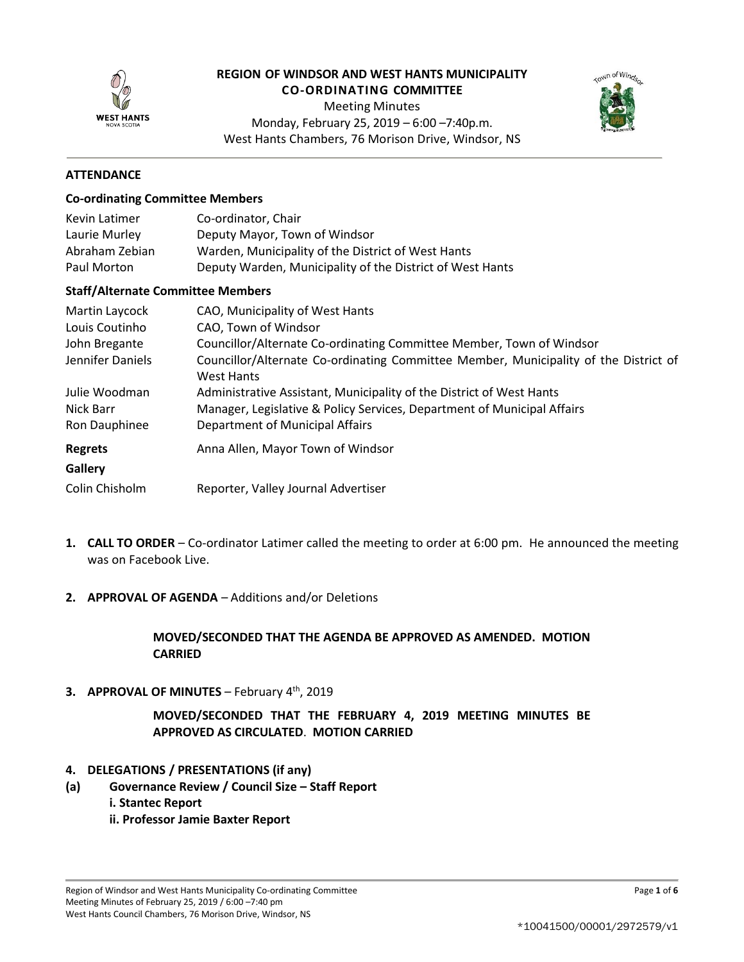

# **REGION OF WINDSOR AND WEST HANTS MUNICIPALITY**

**CO-ORDINATING COMMITTEE**

Meeting Minutes Monday, February 25, 2019 – 6:00 –7:40p.m. West Hants Chambers, 76 Morison Drive, Windsor, NS



## **ATTENDANCE**

### **Co-ordinating Committee Members**

| Kevin Latimer  | Co-ordinator, Chair                                       |
|----------------|-----------------------------------------------------------|
| Laurie Murley  | Deputy Mayor, Town of Windsor                             |
| Abraham Zebian | Warden, Municipality of the District of West Hants        |
| Paul Morton    | Deputy Warden, Municipality of the District of West Hants |

### **Staff/Alternate Committee Members**

| Martin Laycock   | CAO, Municipality of West Hants                                                                           |
|------------------|-----------------------------------------------------------------------------------------------------------|
| Louis Coutinho   | CAO, Town of Windsor                                                                                      |
| John Bregante    | Councillor/Alternate Co-ordinating Committee Member, Town of Windsor                                      |
| Jennifer Daniels | Councillor/Alternate Co-ordinating Committee Member, Municipality of the District of<br><b>West Hants</b> |
| Julie Woodman    | Administrative Assistant, Municipality of the District of West Hants                                      |
| Nick Barr        | Manager, Legislative & Policy Services, Department of Municipal Affairs                                   |
| Ron Dauphinee    | Department of Municipal Affairs                                                                           |
| <b>Regrets</b>   | Anna Allen, Mayor Town of Windsor                                                                         |
| Gallery          |                                                                                                           |
| Colin Chisholm   | Reporter, Valley Journal Advertiser                                                                       |

- **1. CALL TO ORDER** Co-ordinator Latimer called the meeting to order at 6:00 pm. He announced the meeting was on Facebook Live.
- **2. APPROVAL OF AGENDA** Additions and/or Deletions

**MOVED/SECONDED THAT THE AGENDA BE APPROVED AS AMENDED. MOTION CARRIED**

**3. APPROVAL OF MINUTES** – February 4th, 2019

**MOVED/SECONDED THAT THE FEBRUARY 4, 2019 MEETING MINUTES BE APPROVED AS CIRCULATED**. **MOTION CARRIED**

- **4. DELEGATIONS / PRESENTATIONS (if any)**
- **(a) Governance Review / Council Size – Staff Report**
	- **i. Stantec Report**
	- **ii. Professor Jamie Baxter Report**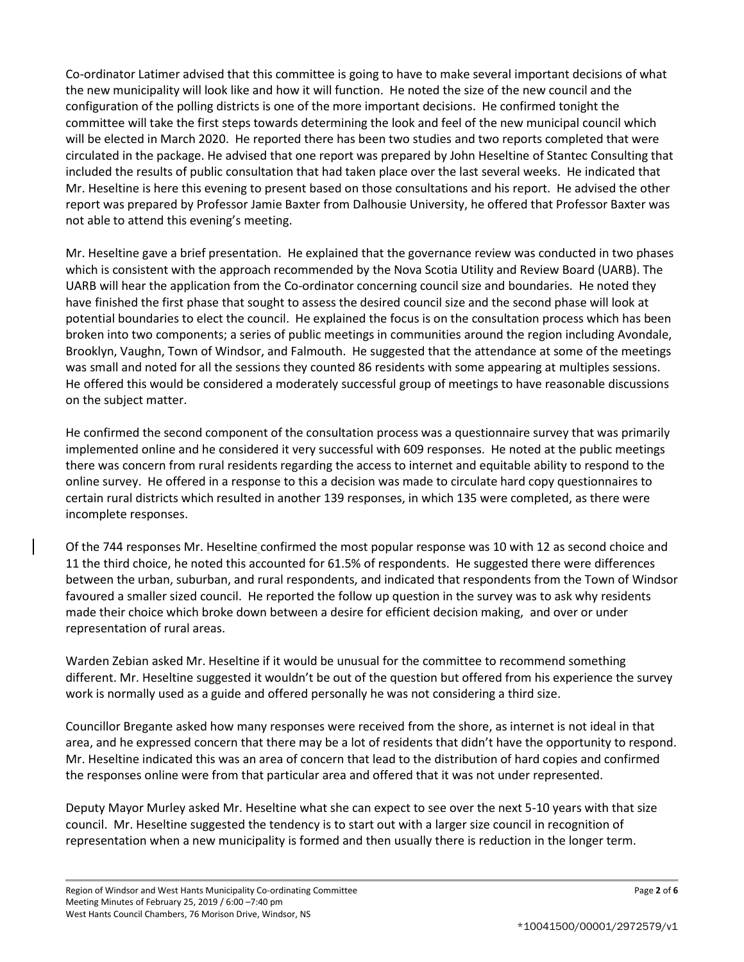Co-ordinator Latimer advised that this committee is going to have to make several important decisions of what the new municipality will look like and how it will function. He noted the size of the new council and the configuration of the polling districts is one of the more important decisions. He confirmed tonight the committee will take the first steps towards determining the look and feel of the new municipal council which will be elected in March 2020. He reported there has been two studies and two reports completed that were circulated in the package. He advised that one report was prepared by John Heseltine of Stantec Consulting that included the results of public consultation that had taken place over the last several weeks. He indicated that Mr. Heseltine is here this evening to present based on those consultations and his report. He advised the other report was prepared by Professor Jamie Baxter from Dalhousie University, he offered that Professor Baxter was not able to attend this evening's meeting.

Mr. Heseltine gave a brief presentation. He explained that the governance review was conducted in two phases which is consistent with the approach recommended by the Nova Scotia Utility and Review Board (UARB). The UARB will hear the application from the Co-ordinator concerning council size and boundaries. He noted they have finished the first phase that sought to assess the desired council size and the second phase will look at potential boundaries to elect the council. He explained the focus is on the consultation process which has been broken into two components; a series of public meetings in communities around the region including Avondale, Brooklyn, Vaughn, Town of Windsor, and Falmouth. He suggested that the attendance at some of the meetings was small and noted for all the sessions they counted 86 residents with some appearing at multiples sessions. He offered this would be considered a moderately successful group of meetings to have reasonable discussions on the subject matter.

He confirmed the second component of the consultation process was a questionnaire survey that was primarily implemented online and he considered it very successful with 609 responses. He noted at the public meetings there was concern from rural residents regarding the access to internet and equitable ability to respond to the online survey. He offered in a response to this a decision was made to circulate hard copy questionnaires to certain rural districts which resulted in another 139 responses, in which 135 were completed, as there were incomplete responses.

Of the 744 responses Mr. Heseltine confirmed the most popular response was 10 with 12 as second choice and 11 the third choice, he noted this accounted for 61.5% of respondents. He suggested there were differences between the urban, suburban, and rural respondents, and indicated that respondents from the Town of Windsor favoured a smaller sized council. He reported the follow up question in the survey was to ask why residents made their choice which broke down between a desire for efficient decision making, and over or under representation of rural areas.

Warden Zebian asked Mr. Heseltine if it would be unusual for the committee to recommend something different. Mr. Heseltine suggested it wouldn't be out of the question but offered from his experience the survey work is normally used as a guide and offered personally he was not considering a third size.

Councillor Bregante asked how many responses were received from the shore, as internet is not ideal in that area, and he expressed concern that there may be a lot of residents that didn't have the opportunity to respond. Mr. Heseltine indicated this was an area of concern that lead to the distribution of hard copies and confirmed the responses online were from that particular area and offered that it was not under represented.

Deputy Mayor Murley asked Mr. Heseltine what she can expect to see over the next 5-10 years with that size council. Mr. Heseltine suggested the tendency is to start out with a larger size council in recognition of representation when a new municipality is formed and then usually there is reduction in the longer term.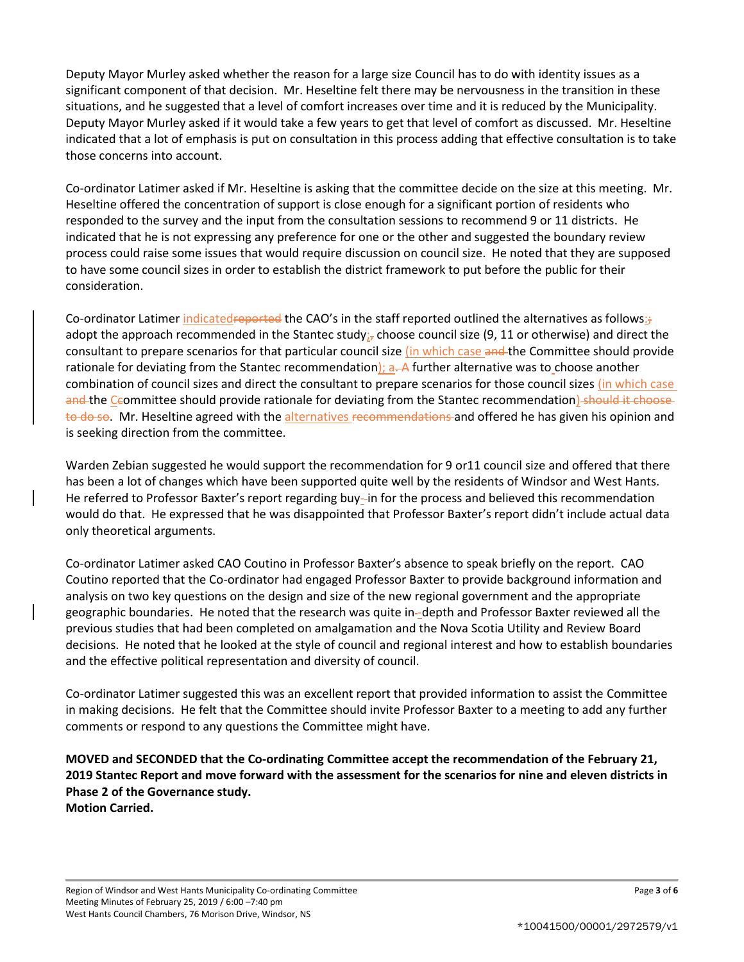Deputy Mayor Murley asked whether the reason for a large size Council has to do with identity issues as a significant component of that decision. Mr. Heseltine felt there may be nervousness in the transition in these situations, and he suggested that a level of comfort increases over time and it is reduced by the Municipality. Deputy Mayor Murley asked if it would take a few years to get that level of comfort as discussed. Mr. Heseltine indicated that a lot of emphasis is put on consultation in this process adding that effective consultation is to take those concerns into account.

Co-ordinator Latimer asked if Mr. Heseltine is asking that the committee decide on the size at this meeting. Mr. Heseltine offered the concentration of support is close enough for a significant portion of residents who responded to the survey and the input from the consultation sessions to recommend 9 or 11 districts. He indicated that he is not expressing any preference for one or the other and suggested the boundary review process could raise some issues that would require discussion on council size. He noted that they are supposed to have some council sizes in order to establish the district framework to put before the public for their consideration.

Co-ordinator Latimer indicatedreported the CAO's in the staff reported outlined the alternatives as follows: $\frac{1}{2}$ adopt the approach recommended in the Stantec study; choose council size (9, 11 or otherwise) and direct the consultant to prepare scenarios for that particular council size (in which case and the Committee should provide rationale for deviating from the Stantec recommendation);  $a - A$  further alternative was to choose another combination of council sizes and direct the consultant to prepare scenarios for those council sizes (in which case and the Ccommittee should provide rationale for deviating from the Stantec recommendation) should it choose to do so. Mr. Heseltine agreed with the alternatives recommendations and offered he has given his opinion and is seeking direction from the committee.

Warden Zebian suggested he would support the recommendation for 9 or11 council size and offered that there has been a lot of changes which have been supported quite well by the residents of Windsor and West Hants. He referred to Professor Baxter's report regarding buy-in for the process and believed this recommendation would do that. He expressed that he was disappointed that Professor Baxter's report didn't include actual data only theoretical arguments.

Co-ordinator Latimer asked CAO Coutino in Professor Baxter's absence to speak briefly on the report. CAO Coutino reported that the Co-ordinator had engaged Professor Baxter to provide background information and analysis on two key questions on the design and size of the new regional government and the appropriate geographic boundaries. He noted that the research was quite in--depth and Professor Baxter reviewed all the previous studies that had been completed on amalgamation and the Nova Scotia Utility and Review Board decisions. He noted that he looked at the style of council and regional interest and how to establish boundaries and the effective political representation and diversity of council.

Co-ordinator Latimer suggested this was an excellent report that provided information to assist the Committee in making decisions. He felt that the Committee should invite Professor Baxter to a meeting to add any further comments or respond to any questions the Committee might have.

**MOVED and SECONDED that the Co-ordinating Committee accept the recommendation of the February 21, 2019 Stantec Report and move forward with the assessment for the scenarios for nine and eleven districts in Phase 2 of the Governance study.** 

**Motion Carried.**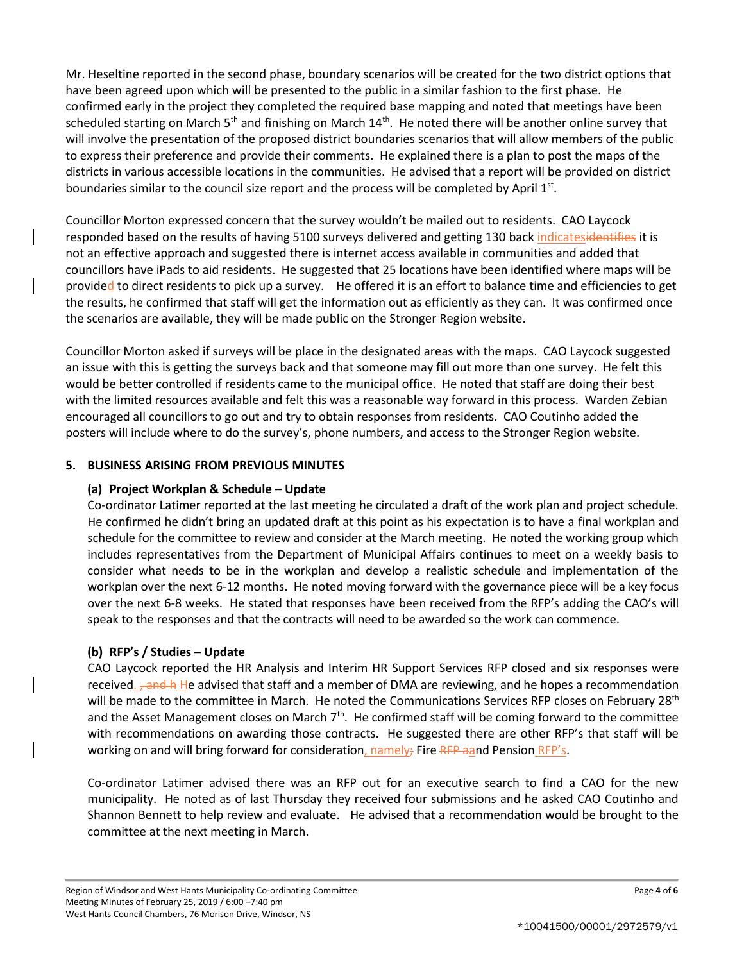Mr. Heseltine reported in the second phase, boundary scenarios will be created for the two district options that have been agreed upon which will be presented to the public in a similar fashion to the first phase. He confirmed early in the project they completed the required base mapping and noted that meetings have been scheduled starting on March  $5<sup>th</sup>$  and finishing on March  $14<sup>th</sup>$ . He noted there will be another online survey that will involve the presentation of the proposed district boundaries scenarios that will allow members of the public to express their preference and provide their comments. He explained there is a plan to post the maps of the districts in various accessible locations in the communities. He advised that a report will be provided on district boundaries similar to the council size report and the process will be completed by April 1st.

Councillor Morton expressed concern that the survey wouldn't be mailed out to residents. CAO Laycock responded based on the results of having 5100 surveys delivered and getting 130 back indicatesidentifies it is not an effective approach and suggested there is internet access available in communities and added that councillors have iPads to aid residents. He suggested that 25 locations have been identified where maps will be provided to direct residents to pick up a survey. He offered it is an effort to balance time and efficiencies to get the results, he confirmed that staff will get the information out as efficiently as they can. It was confirmed once the scenarios are available, they will be made public on the Stronger Region website.

Councillor Morton asked if surveys will be place in the designated areas with the maps. CAO Laycock suggested an issue with this is getting the surveys back and that someone may fill out more than one survey. He felt this would be better controlled if residents came to the municipal office. He noted that staff are doing their best with the limited resources available and felt this was a reasonable way forward in this process. Warden Zebian encouraged all councillors to go out and try to obtain responses from residents. CAO Coutinho added the posters will include where to do the survey's, phone numbers, and access to the Stronger Region website.

### **5. BUSINESS ARISING FROM PREVIOUS MINUTES**

### **(a) Project Workplan & Schedule – Update**

Co-ordinator Latimer reported at the last meeting he circulated a draft of the work plan and project schedule. He confirmed he didn't bring an updated draft at this point as his expectation is to have a final workplan and schedule for the committee to review and consider at the March meeting. He noted the working group which includes representatives from the Department of Municipal Affairs continues to meet on a weekly basis to consider what needs to be in the workplan and develop a realistic schedule and implementation of the workplan over the next 6-12 months. He noted moving forward with the governance piece will be a key focus over the next 6-8 weeks. He stated that responses have been received from the RFP's adding the CAO's will speak to the responses and that the contracts will need to be awarded so the work can commence.

# **(b) RFP's / Studies – Update**

CAO Laycock reported the HR Analysis and Interim HR Support Services RFP closed and six responses were received. <del>, and h</del> He advised that staff and a member of DMA are reviewing, and he hopes a recommendation will be made to the committee in March. He noted the Communications Services RFP closes on February 28<sup>th</sup> and the Asset Management closes on March  $7<sup>th</sup>$ . He confirmed staff will be coming forward to the committee with recommendations on awarding those contracts. He suggested there are other RFP's that staff will be working on and will bring forward for consideration, namely; Fire RFP aand Pension RFP's.

Co-ordinator Latimer advised there was an RFP out for an executive search to find a CAO for the new municipality. He noted as of last Thursday they received four submissions and he asked CAO Coutinho and Shannon Bennett to help review and evaluate. He advised that a recommendation would be brought to the committee at the next meeting in March.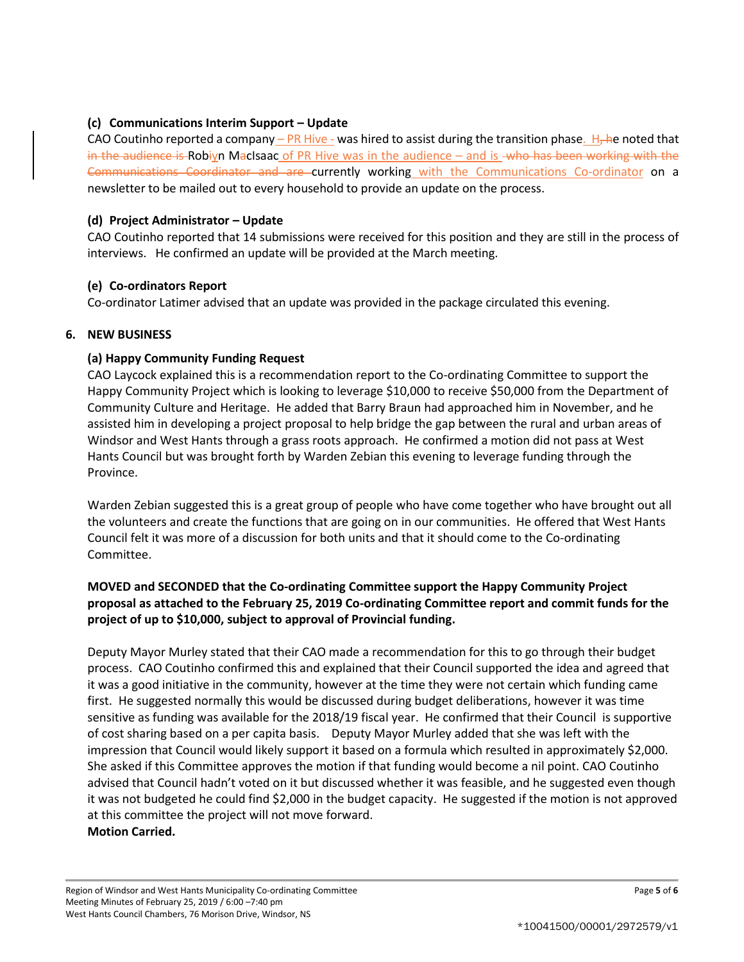# **(c) Communications Interim Support – Update**

CAO Coutinho reported a company – PR Hive - was hired to assist during the transition phase. H, he noted that in the audience is Robiyn MacIsaac of PR Hive was in the audience  $-$  and is -who has been working with the Communications Coordinator and are currently working with the Communications Co-ordinator on a newsletter to be mailed out to every household to provide an update on the process.

## **(d) Project Administrator – Update**

CAO Coutinho reported that 14 submissions were received for this position and they are still in the process of interviews. He confirmed an update will be provided at the March meeting.

# **(e) Co-ordinators Report**

Co-ordinator Latimer advised that an update was provided in the package circulated this evening.

### **6. NEW BUSINESS**

# **(a) Happy Community Funding Request**

CAO Laycock explained this is a recommendation report to the Co-ordinating Committee to support the Happy Community Project which is looking to leverage \$10,000 to receive \$50,000 from the Department of Community Culture and Heritage. He added that Barry Braun had approached him in November, and he assisted him in developing a project proposal to help bridge the gap between the rural and urban areas of Windsor and West Hants through a grass roots approach. He confirmed a motion did not pass at West Hants Council but was brought forth by Warden Zebian this evening to leverage funding through the Province.

Warden Zebian suggested this is a great group of people who have come together who have brought out all the volunteers and create the functions that are going on in our communities. He offered that West Hants Council felt it was more of a discussion for both units and that it should come to the Co-ordinating Committee.

# **MOVED and SECONDED that the Co-ordinating Committee support the Happy Community Project proposal as attached to the February 25, 2019 Co-ordinating Committee report and commit funds for the project of up to \$10,000, subject to approval of Provincial funding.**

Deputy Mayor Murley stated that their CAO made a recommendation for this to go through their budget process. CAO Coutinho confirmed this and explained that their Council supported the idea and agreed that it was a good initiative in the community, however at the time they were not certain which funding came first. He suggested normally this would be discussed during budget deliberations, however it was time sensitive as funding was available for the 2018/19 fiscal year. He confirmed that their Council is supportive of cost sharing based on a per capita basis. Deputy Mayor Murley added that she was left with the impression that Council would likely support it based on a formula which resulted in approximately \$2,000. She asked if this Committee approves the motion if that funding would become a nil point. CAO Coutinho advised that Council hadn't voted on it but discussed whether it was feasible, and he suggested even though it was not budgeted he could find \$2,000 in the budget capacity. He suggested if the motion is not approved at this committee the project will not move forward. **Motion Carried.**